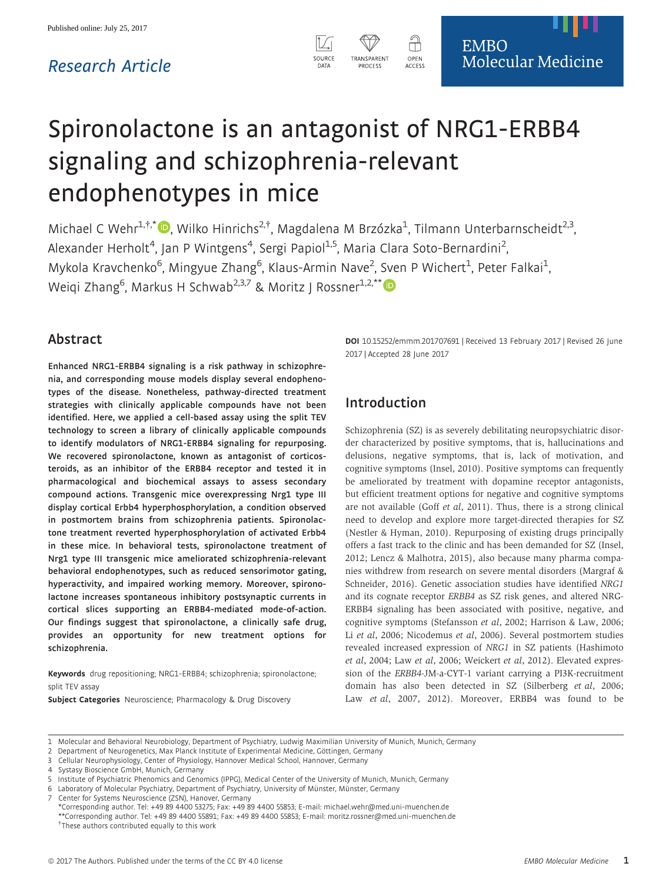# Research Article



SOURCI

Michael C Wehr<sup>1,†,\*</sup><sup>D</sup>, Wilko Hinrichs<sup>2,†</sup>, Magdalena M Brzózka<sup>1</sup>, Tilmann Unterbarnscheidt<sup>2,3</sup> .<br>, Alexander Herholt<sup>4</sup>, Jan P Wintgens<sup>4</sup>, Sergi Papiol<sup>1,5</sup>, Maria Clara Soto-Bernardini<sup>2</sup> , Mykola Kravchenko<sup>6</sup>, Mingyue Zhang<sup>6</sup>, Klaus-Armin Nave<sup>2</sup>, Sven P Wichert<sup>1</sup>, Peter Falkai<sup>1</sup> , Weiqi Zhang<sup>6</sup>, Markus H Schwab<sup>2,3,7</sup> & Moritz J Rossner<sup>1,2,\*\*</sup>

## Abstract

Enhanced NRG1-ERBB4 signaling is a risk pathway in schizophrenia, and corresponding mouse models display several endophenotypes of the disease. Nonetheless, pathway-directed treatment strategies with clinically applicable compounds have not been identified. Here, we applied a cell-based assay using the split TEV technology to screen a library of clinically applicable compounds to identify modulators of NRG1-ERBB4 signaling for repurposing. We recovered spironolactone, known as antagonist of corticosteroids, as an inhibitor of the ERBB4 receptor and tested it in pharmacological and biochemical assays to assess secondary compound actions. Transgenic mice overexpressing Nrg1 type III display cortical Erbb4 hyperphosphorylation, a condition observed in postmortem brains from schizophrenia patients. Spironolactone treatment reverted hyperphosphorylation of activated Erbb4 in these mice. In behavioral tests, spironolactone treatment of Nrg1 type III transgenic mice ameliorated schizophrenia-relevant behavioral endophenotypes, such as reduced sensorimotor gating, hyperactivity, and impaired working memory. Moreover, spironolactone increases spontaneous inhibitory postsynaptic currents in cortical slices supporting an ERBB4-mediated mode-of-action. Our findings suggest that spironolactone, a clinically safe drug, provides an opportunity for new treatment options for schizophrenia.

Keywords drug repositioning; NRG1-ERBB4; schizophrenia; spironolactone; split TEV assay

Subject Categories Neuroscience; Pharmacology & Drug Discovery

DOI 10.15252/emmm.201707691 | Received 13 February 2017 | Revised 26 June 2017 | Accepted 28 June 2017

**EMBO** 

Molecular Medicine

## Introduction

m

OPEN<br>ACCESS

RANSPAREN **PROCESS** 

Schizophrenia (SZ) is as severely debilitating neuropsychiatric disorder characterized by positive symptoms, that is, hallucinations and delusions, negative symptoms, that is, lack of motivation, and cognitive symptoms (Insel, 2010). Positive symptoms can frequently be ameliorated by treatment with dopamine receptor antagonists, but efficient treatment options for negative and cognitive symptoms are not available (Goff et al, 2011). Thus, there is a strong clinical need to develop and explore more target-directed therapies for SZ (Nestler & Hyman, 2010). Repurposing of existing drugs principally offers a fast track to the clinic and has been demanded for SZ (Insel, 2012; Lencz & Malhotra, 2015), also because many pharma companies withdrew from research on severe mental disorders (Margraf & Schneider, 2016). Genetic association studies have identified NRG1 and its cognate receptor ERBB4 as SZ risk genes, and altered NRG-ERBB4 signaling has been associated with positive, negative, and cognitive symptoms (Stefansson et al, 2002; Harrison & Law, 2006; Li et al, 2006; Nicodemus et al, 2006). Several postmortem studies revealed increased expression of NRG1 in SZ patients (Hashimoto et al, 2004; Law et al, 2006; Weickert et al, 2012). Elevated expression of the ERBB4-JM-a-CYT-1 variant carrying a PI3K-recruitment domain has also been detected in SZ (Silberberg et al, 2006; Law et al, 2007, 2012). Moreover, ERBB4 was found to be

<sup>1</sup> Molecular and Behavioral Neurobiology, Department of Psychiatry, Ludwig Maximilian University of Munich, Munich, Germany

<sup>2</sup> Department of Neurogenetics, Max Planck Institute of Experimental Medicine, Göttingen, Germany

<sup>3</sup> Cellular Neurophysiology, Center of Physiology, Hannover Medical School, Hannover, Germany

Systasy Bioscience GmbH, Munich, Germany

<sup>5</sup> Institute of Psychiatric Phenomics and Genomics (IPPG), Medical Center of the University of Munich, Munich, Germany

<sup>6</sup> Laboratory of Molecular Psychiatry, Department of Psychiatry, University of Münster, Münster, Germany

<sup>7</sup> Center for Systems Neuroscience (ZSN), Hanover, Germany

<sup>\*</sup>Corresponding author. Tel: +49 89 4400 53275; Fax: +49 89 4400 55853; E-mail: michael.wehr@med.uni-muenchen.de \*\*Corresponding author. Tel: +49 89 4400 55891; Fax: +49 89 4400 55853; E-mail: moritz.rossner@med.uni-muenchen.de † These authors contributed equally to this work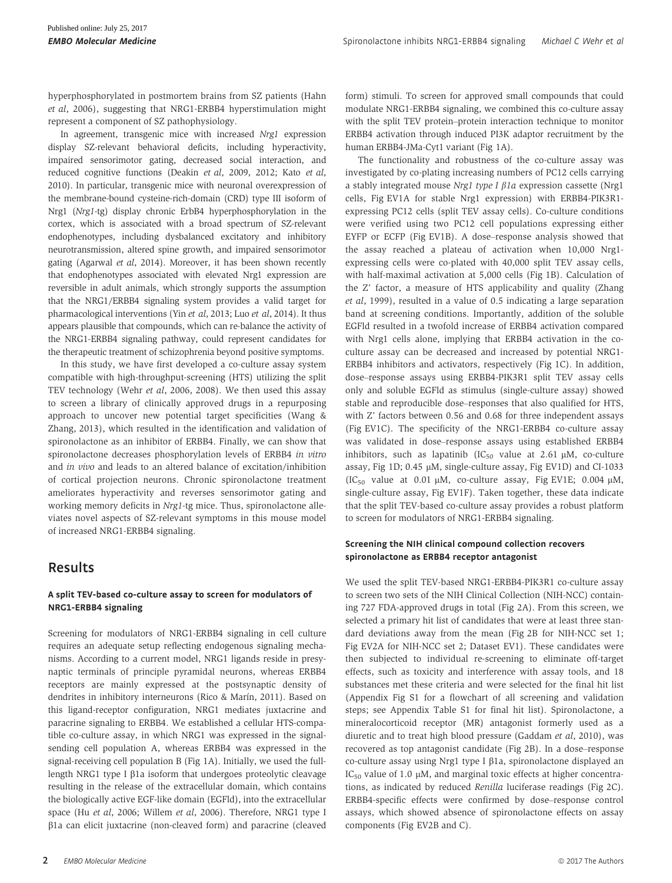hyperphosphorylated in postmortem brains from SZ patients (Hahn et al, 2006), suggesting that NRG1-ERBB4 hyperstimulation might represent a component of SZ pathophysiology.

In agreement, transgenic mice with increased Nrg1 expression display SZ-relevant behavioral deficits, including hyperactivity, impaired sensorimotor gating, decreased social interaction, and reduced cognitive functions (Deakin et al, 2009, 2012; Kato et al, 2010). In particular, transgenic mice with neuronal overexpression of the membrane-bound cysteine-rich-domain (CRD) type III isoform of Nrg1 (Nrg1-tg) display chronic ErbB4 hyperphosphorylation in the cortex, which is associated with a broad spectrum of SZ-relevant endophenotypes, including dysbalanced excitatory and inhibitory neurotransmission, altered spine growth, and impaired sensorimotor gating (Agarwal et al, 2014). Moreover, it has been shown recently that endophenotypes associated with elevated Nrg1 expression are reversible in adult animals, which strongly supports the assumption that the NRG1/ERBB4 signaling system provides a valid target for pharmacological interventions (Yin et al, 2013; Luo et al, 2014). It thus appears plausible that compounds, which can re-balance the activity of the NRG1-ERBB4 signaling pathway, could represent candidates for the therapeutic treatment of schizophrenia beyond positive symptoms.

In this study, we have first developed a co-culture assay system compatible with high-throughput-screening (HTS) utilizing the split TEV technology (Wehr et al, 2006, 2008). We then used this assay to screen a library of clinically approved drugs in a repurposing approach to uncover new potential target specificities (Wang & Zhang, 2013), which resulted in the identification and validation of spironolactone as an inhibitor of ERBB4. Finally, we can show that spironolactone decreases phosphorylation levels of ERBB4 in vitro and in vivo and leads to an altered balance of excitation/inhibition of cortical projection neurons. Chronic spironolactone treatment ameliorates hyperactivity and reverses sensorimotor gating and working memory deficits in Nrg1-tg mice. Thus, spironolactone alleviates novel aspects of SZ-relevant symptoms in this mouse model of increased NRG1-ERBB4 signaling.

## Results

#### A split TEV-based co-culture assay to screen for modulators of NRG1-ERBB4 signaling

Screening for modulators of NRG1-ERBB4 signaling in cell culture requires an adequate setup reflecting endogenous signaling mechanisms. According to a current model, NRG1 ligands reside in presynaptic terminals of principle pyramidal neurons, whereas ERBB4 receptors are mainly expressed at the postsynaptic density of dendrites in inhibitory interneurons (Rico & Marín, 2011). Based on this ligand-receptor configuration, NRG1 mediates juxtacrine and paracrine signaling to ERBB4. We established a cellular HTS-compatible co-culture assay, in which NRG1 was expressed in the signalsending cell population A, whereas ERBB4 was expressed in the signal-receiving cell population B (Fig 1A). Initially, we used the fulllength NRG1 type I  $\beta$ 1a isoform that undergoes proteolytic cleavage resulting in the release of the extracellular domain, which contains the biologically active EGF-like domain (EGFld), into the extracellular space (Hu et al, 2006; Willem et al, 2006). Therefore, NRG1 type I  $\beta$ 1a can elicit juxtacrine (non-cleaved form) and paracrine (cleaved form) stimuli. To screen for approved small compounds that could modulate NRG1-ERBB4 signaling, we combined this co-culture assay with the split TEV protein–protein interaction technique to monitor ERBB4 activation through induced PI3K adaptor recruitment by the human ERBB4-JMa-Cyt1 variant (Fig 1A).

The functionality and robustness of the co-culture assay was investigated by co-plating increasing numbers of PC12 cells carrying a stably integrated mouse Nrg1 type I  $\beta$ 1a expression cassette (Nrg1 cells, Fig EV1A for stable Nrg1 expression) with ERBB4-PIK3R1 expressing PC12 cells (split TEV assay cells). Co-culture conditions were verified using two PC12 cell populations expressing either EYFP or ECFP (Fig EV1B). A dose–response analysis showed that the assay reached a plateau of activation when 10,000 Nrg1 expressing cells were co-plated with 40,000 split TEV assay cells, with half-maximal activation at 5,000 cells (Fig 1B). Calculation of the Z' factor, a measure of HTS applicability and quality (Zhang et al, 1999), resulted in a value of 0.5 indicating a large separation band at screening conditions. Importantly, addition of the soluble EGFld resulted in a twofold increase of ERBB4 activation compared with Nrg1 cells alone, implying that ERBB4 activation in the coculture assay can be decreased and increased by potential NRG1- ERBB4 inhibitors and activators, respectively (Fig 1C). In addition, dose–response assays using ERBB4-PIK3R1 split TEV assay cells only and soluble EGFld as stimulus (single-culture assay) showed stable and reproducible dose–responses that also qualified for HTS, with Z' factors between 0.56 and 0.68 for three independent assays (Fig EV1C). The specificity of the NRG1-ERBB4 co-culture assay was validated in dose–response assays using established ERBB4 inhibitors, such as lapatinib (IC<sub>50</sub> value at 2.61  $\mu$ M, co-culture assay, Fig 1D;  $0.45 \mu M$ , single-culture assay, Fig EV1D) and CI-1033 (IC<sub>50</sub> value at 0.01  $\mu$ M, co-culture assay, Fig EV1E; 0.004  $\mu$ M, single-culture assay, Fig EV1F). Taken together, these data indicate that the split TEV-based co-culture assay provides a robust platform to screen for modulators of NRG1-ERBB4 signaling.

#### Screening the NIH clinical compound collection recovers spironolactone as ERBB4 receptor antagonist

We used the split TEV-based NRG1-ERBB4-PIK3R1 co-culture assay to screen two sets of the NIH Clinical Collection (NIH-NCC) containing 727 FDA-approved drugs in total (Fig 2A). From this screen, we selected a primary hit list of candidates that were at least three standard deviations away from the mean (Fig 2B for NIH-NCC set 1; Fig EV2A for NIH-NCC set 2; Dataset EV1). These candidates were then subjected to individual re-screening to eliminate off-target effects, such as toxicity and interference with assay tools, and 18 substances met these criteria and were selected for the final hit list (Appendix Fig S1 for a flowchart of all screening and validation steps; see Appendix Table S1 for final hit list). Spironolactone, a mineralocorticoid receptor (MR) antagonist formerly used as a diuretic and to treat high blood pressure (Gaddam et al, 2010), was recovered as top antagonist candidate (Fig 2B). In a dose–response co-culture assay using Nrg1 type I  $\beta$ 1a, spironolactone displayed an IC<sub>50</sub> value of 1.0  $\mu$ M, and marginal toxic effects at higher concentrations, as indicated by reduced Renilla luciferase readings (Fig 2C). ERBB4-specific effects were confirmed by dose–response control assays, which showed absence of spironolactone effects on assay components (Fig EV2B and C).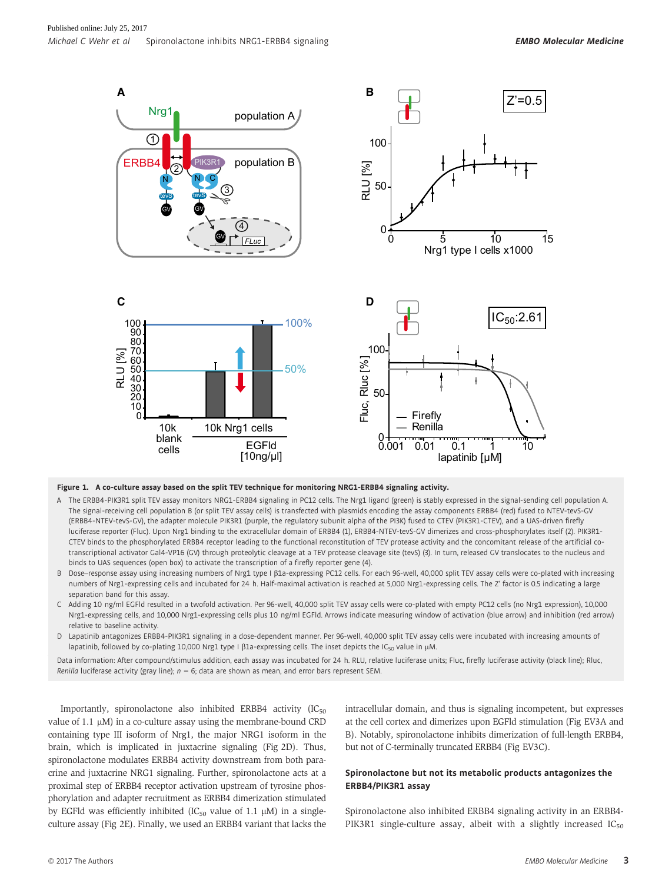

#### Figure 1. A co-culture assay based on the split TEV technique for monitoring NRG1-ERBB4 signaling activity.

- A The ERBB4-PIK3R1 split TEV assay monitors NRG1-ERBB4 signaling in PC12 cells. The Nrg1 ligand (green) is stably expressed in the signal-sending cell population A. The signal-receiving cell population B (or split TEV assay cells) is transfected with plasmids encoding the assay components ERBB4 (red) fused to NTEV-tevS-GV (ERBB4-NTEV-tevS-GV), the adapter molecule PIK3R1 (purple, the regulatory subunit alpha of the PI3K) fused to CTEV (PIK3R1-CTEV), and a UAS-driven firefly luciferase reporter (Fluc). Upon Nrg1 binding to the extracellular domain of ERBB4 (1), ERBB4-NTEV-tevS-GV dimerizes and cross-phosphorylates itself (2). PIK3R1- CTEV binds to the phosphorylated ERBB4 receptor leading to the functional reconstitution of TEV protease activity and the concomitant release of the artificial cotranscriptional activator Gal4-VP16 (GV) through proteolytic cleavage at a TEV protease cleavage site (tevS) (3). In turn, released GV translocates to the nucleus and binds to UAS sequences (open box) to activate the transcription of a firefly reporter gene (4).
- B Dose-response assay using increasing numbers of Nrg1 type I  $\beta$ 1a-expressing PC12 cells. For each 96-well, 40,000 split TEV assay cells were co-plated with increasing numbers of Nrg1-expressing cells and incubated for 24 h. Half-maximal activation is reached at 5,000 Nrg1-expressing cells. The Z' factor is 0.5 indicating a large separation band for this assay.
- C Adding 10 ng/ml EGFld resulted in a twofold activation. Per 96-well, 40,000 split TEV assay cells were co-plated with empty PC12 cells (no Nrg1 expression), 10,000 Nrg1-expressing cells, and 10,000 Nrg1-expressing cells plus 10 ng/ml EGFld. Arrows indicate measuring window of activation (blue arrow) and inhibition (red arrow) relative to baseline activity.
- D Lapatinib antagonizes ERBB4-PIK3R1 signaling in a dose-dependent manner. Per 96-well, 40,000 split TEV assay cells were incubated with increasing amounts of lapatinib, followed by co-plating 10,000 Nrg1 type I  $\beta$ 1a-expressing cells. The inset depicts the IC<sub>50</sub> value in µM

Data information: After compound/stimulus addition, each assay was incubated for 24 h. RLU, relative luciferase units; Fluc, firefly luciferase activity (black line); Rluc, Renilla luciferase activity (gray line);  $n = 6$ ; data are shown as mean, and error bars represent SEM.

Importantly, spironolactone also inhibited ERBB4 activity  $(IC_{50}$ value of 1.1  $\mu$ M) in a co-culture assay using the membrane-bound CRD containing type III isoform of Nrg1, the major NRG1 isoform in the brain, which is implicated in juxtacrine signaling (Fig 2D). Thus, spironolactone modulates ERBB4 activity downstream from both paracrine and juxtacrine NRG1 signaling. Further, spironolactone acts at a proximal step of ERBB4 receptor activation upstream of tyrosine phosphorylation and adapter recruitment as ERBB4 dimerization stimulated by EGFld was efficiently inhibited (IC<sub>50</sub> value of 1.1  $\mu$ M) in a singleculture assay (Fig 2E). Finally, we used an ERBB4 variant that lacks the intracellular domain, and thus is signaling incompetent, but expresses at the cell cortex and dimerizes upon EGFld stimulation (Fig EV3A and B). Notably, spironolactone inhibits dimerization of full-length ERBB4, but not of C-terminally truncated ERBB4 (Fig EV3C).

#### Spironolactone but not its metabolic products antagonizes the ERBB4/PIK3R1 assay

Spironolactone also inhibited ERBB4 signaling activity in an ERBB4- PIK3R1 single-culture assay, albeit with a slightly increased  $IC_{50}$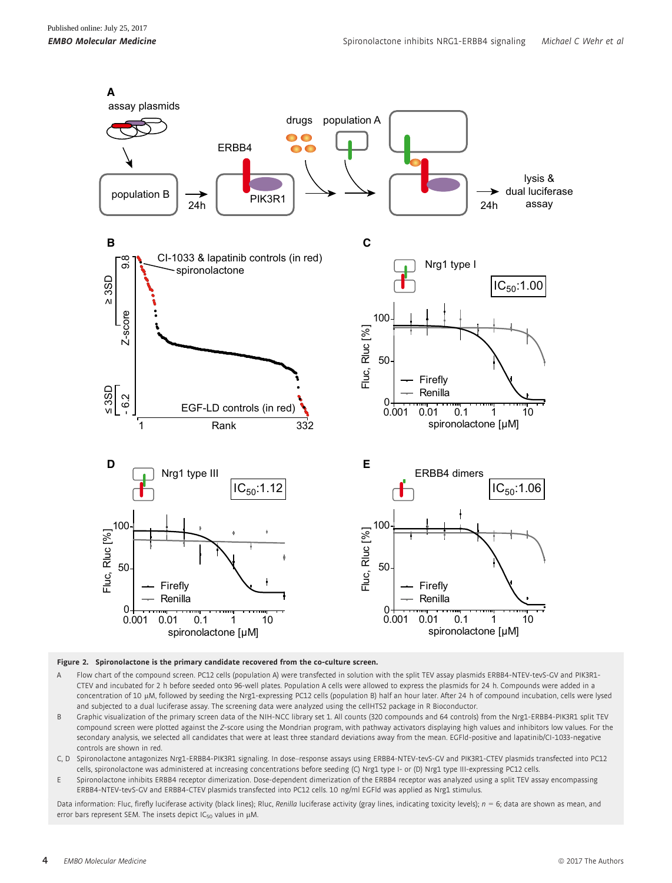

Figure 2. Spironolactone is the primary candidate recovered from the co-culture screen.

- A Flow chart of the compound screen. PC12 cells (population A) were transfected in solution with the split TEV assay plasmids ERBB4-NTEV-tevS-GV and PIK3R1- CTEV and incubated for 2 h before seeded onto 96-well plates. Population A cells were allowed to express the plasmids for 24 h. Compounds were added in a concentration of 10 lM, followed by seeding the Nrg1-expressing PC12 cells (population B) half an hour later. After 24 h of compound incubation, cells were lysed and subjected to a dual luciferase assay. The screening data were analyzed using the cellHTS2 package in R Bioconductor
- B Graphic visualization of the primary screen data of the NIH-NCC library set 1. All counts (320 compounds and 64 controls) from the Nrg1-ERBB4-PIK3R1 split TEV compound screen were plotted against the Z-score using the Mondrian program, with pathway activators displaying high values and inhibitors low values. For the secondary analysis, we selected all candidates that were at least three standard deviations away from the mean. EGFld-positive and lapatinib/CI-1033-negative controls are shown in red.
- C, D Spironolactone antagonizes Nrg1-ERBB4-PIK3R1 signaling. In dose–response assays using ERBB4-NTEV-tevS-GV and PIK3R1-CTEV plasmids transfected into PC12 cells, spironolactone was administered at increasing concentrations before seeding (C) Nrg1 type I- or (D) Nrg1 type III-expressing PC12 cells.
- E Spironolactone inhibits ERBB4 receptor dimerization. Dose-dependent dimerization of the ERBB4 receptor was analyzed using a split TEV assay encompassing ERBB4-NTEV-tevS-GV and ERBB4-CTEV plasmids transfected into PC12 cells. 10 ng/ml EGFld was applied as Nrg1 stimulus.

Data information: Fluc, firefly luciferase activity (black lines); Rluc, Renilla luciferase activity (gray lines, indicating toxicity levels);  $n = 6$ ; data are shown as mean, and error bars represent SEM. The insets depict  $IC_{50}$  values in  $\mu$ M.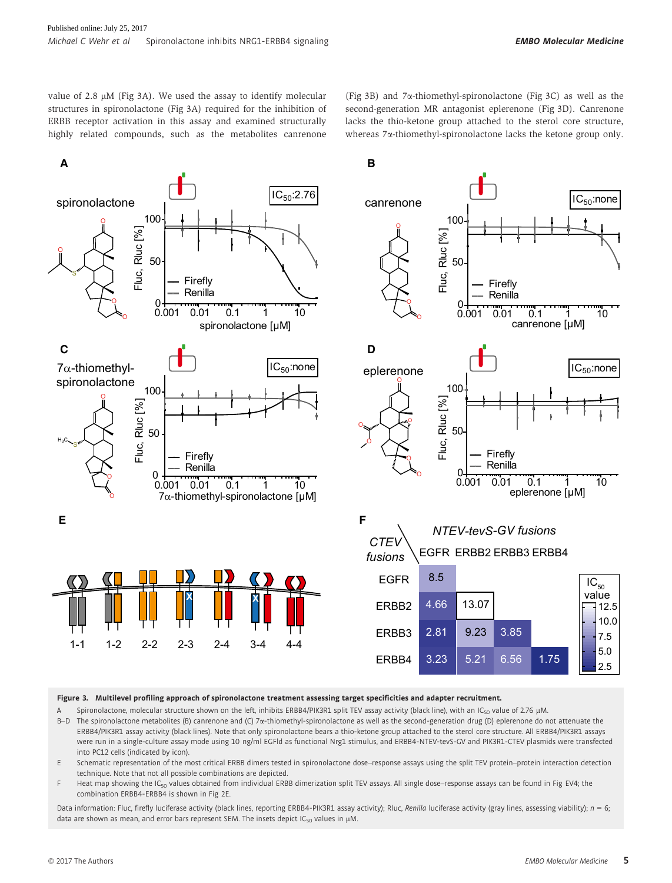value of 2.8  $\mu$ M (Fig 3A). We used the assay to identify molecular structures in spironolactone (Fig 3A) required for the inhibition of ERBB receptor activation in this assay and examined structurally highly related compounds, such as the metabolites canrenone

(Fig 3B) and 7a-thiomethyl-spironolactone (Fig 3C) as well as the second-generation MR antagonist eplerenone (Fig 3D). Canrenone lacks the thio-ketone group attached to the sterol core structure, whereas 7a-thiomethyl-spironolactone lacks the ketone group only.



Figure 3. Multilevel profiling approach of spironolactone treatment assessing target specificities and adapter recruitment.

A Spironolactone, molecular structure shown on the left, inhibits ERBB4/PIK3R1 split TEV assay activity (black line), with an IC<sub>50</sub> value of 2.76 µM. B-D The spironolactone metabolites (B) canrenone and (C) 7a-thiomethyl-spironolactone as well as the second-generation drug (D) eplerenone do not attenuate the ERBB4/PIK3R1 assay activity (black lines). Note that only spironolactone bears a thio-ketone group attached to the sterol core structure. All ERBB4/PIK3R1 assays were run in a single-culture assay mode using 10 ng/ml EGFld as functional Nrg1 stimulus, and ERBB4-NTEV-tevS-GV and PIK3R1-CTEV plasmids were transfected into PC12 cells (indicated by icon).

E Schematic representation of the most critical ERBB dimers tested in spironolactone dose–response assays using the split TEV protein–protein interaction detection technique. Note that not all possible combinations are depicted.

F Heat map showing the IC<sub>50</sub> values obtained from individual ERBB dimerization split TEV assays. All single dose–response assays can be found in Fig EV4; the combination ERBB4-ERBB4 is shown in Fig 2E.

Data information: Fluc, firefly luciferase activity (black lines, reporting ERBB4-PIK3R1 assay activity); Rluc, Renilla luciferase activity (gray lines, assessing viability);  $n = 6$ ; data are shown as mean, and error bars represent SEM. The insets depict IC<sub>50</sub> values in  $\mu$ M.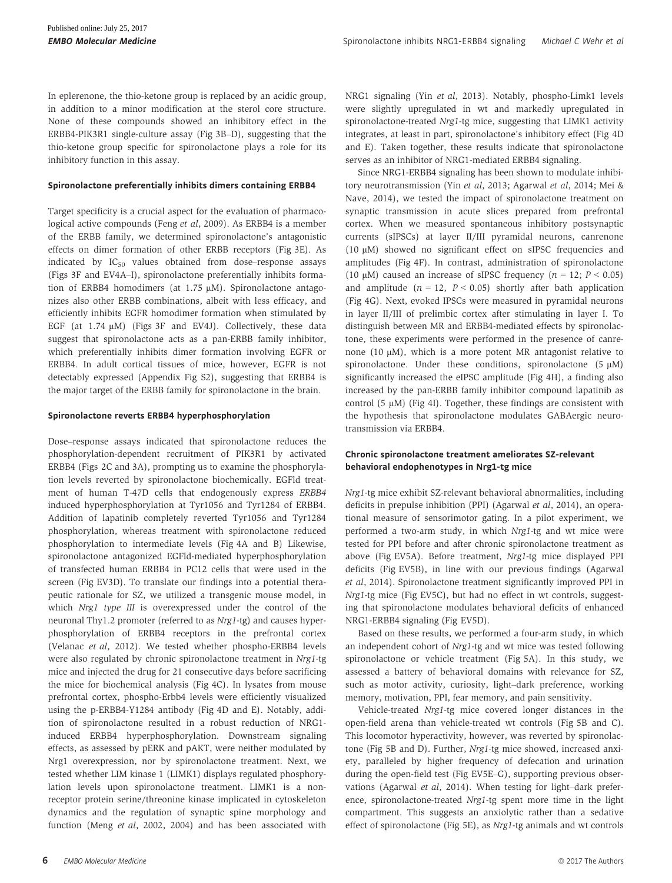In eplerenone, the thio-ketone group is replaced by an acidic group, in addition to a minor modification at the sterol core structure. None of these compounds showed an inhibitory effect in the ERBB4-PIK3R1 single-culture assay (Fig 3B–D), suggesting that the thio-ketone group specific for spironolactone plays a role for its inhibitory function in this assay.

#### Spironolactone preferentially inhibits dimers containing ERBB4

Target specificity is a crucial aspect for the evaluation of pharmacological active compounds (Feng et al, 2009). As ERBB4 is a member of the ERBB family, we determined spironolactone's antagonistic effects on dimer formation of other ERBB receptors (Fig 3E). As indicated by  $IC_{50}$  values obtained from dose–response assays (Figs 3F and EV4A–I), spironolactone preferentially inhibits formation of ERBB4 homodimers (at  $1.75 \mu$ M). Spironolactone antagonizes also other ERBB combinations, albeit with less efficacy, and efficiently inhibits EGFR homodimer formation when stimulated by EGF (at  $1.74 \mu M$ ) (Figs 3F and EV4J). Collectively, these data suggest that spironolactone acts as a pan-ERBB family inhibitor, which preferentially inhibits dimer formation involving EGFR or ERBB4. In adult cortical tissues of mice, however, EGFR is not detectably expressed (Appendix Fig S2), suggesting that ERBB4 is the major target of the ERBB family for spironolactone in the brain.

#### Spironolactone reverts ERBB4 hyperphosphorylation

Dose–response assays indicated that spironolactone reduces the phosphorylation-dependent recruitment of PIK3R1 by activated ERBB4 (Figs 2C and 3A), prompting us to examine the phosphorylation levels reverted by spironolactone biochemically. EGFld treatment of human T-47D cells that endogenously express ERBB4 induced hyperphosphorylation at Tyr1056 and Tyr1284 of ERBB4. Addition of lapatinib completely reverted Tyr1056 and Tyr1284 phosphorylation, whereas treatment with spironolactone reduced phosphorylation to intermediate levels (Fig 4A and B) Likewise, spironolactone antagonized EGFld-mediated hyperphosphorylation of transfected human ERBB4 in PC12 cells that were used in the screen (Fig EV3D). To translate our findings into a potential therapeutic rationale for SZ, we utilized a transgenic mouse model, in which Nrg1 type III is overexpressed under the control of the neuronal Thy1.2 promoter (referred to as Nrg1-tg) and causes hyperphosphorylation of ERBB4 receptors in the prefrontal cortex (Velanac et al, 2012). We tested whether phospho-ERBB4 levels were also regulated by chronic spironolactone treatment in Nrg1-tg mice and injected the drug for 21 consecutive days before sacrificing the mice for biochemical analysis (Fig 4C). In lysates from mouse prefrontal cortex, phospho-Erbb4 levels were efficiently visualized using the p-ERBB4-Y1284 antibody (Fig 4D and E). Notably, addition of spironolactone resulted in a robust reduction of NRG1 induced ERBB4 hyperphosphorylation. Downstream signaling effects, as assessed by pERK and pAKT, were neither modulated by Nrg1 overexpression, nor by spironolactone treatment. Next, we tested whether LIM kinase 1 (LIMK1) displays regulated phosphorylation levels upon spironolactone treatment. LIMK1 is a nonreceptor protein serine/threonine kinase implicated in cytoskeleton dynamics and the regulation of synaptic spine morphology and function (Meng et al, 2002, 2004) and has been associated with NRG1 signaling (Yin et al, 2013). Notably, phospho-Limk1 levels were slightly upregulated in wt and markedly upregulated in spironolactone-treated Nrg1-tg mice, suggesting that LIMK1 activity integrates, at least in part, spironolactone's inhibitory effect (Fig 4D and E). Taken together, these results indicate that spironolactone serves as an inhibitor of NRG1-mediated ERBB4 signaling.

Since NRG1-ERBB4 signaling has been shown to modulate inhibitory neurotransmission (Yin et al, 2013; Agarwal et al, 2014; Mei & Nave, 2014), we tested the impact of spironolactone treatment on synaptic transmission in acute slices prepared from prefrontal cortex. When we measured spontaneous inhibitory postsynaptic currents (sIPSCs) at layer II/III pyramidal neurons, canrenone (10  $\mu$ M) showed no significant effect on sIPSC frequencies and amplitudes (Fig 4F). In contrast, administration of spironolactone (10  $\mu$ M) caused an increase of sIPSC frequency ( $n = 12$ ;  $P < 0.05$ ) and amplitude  $(n = 12, P < 0.05)$  shortly after bath application (Fig 4G). Next, evoked IPSCs were measured in pyramidal neurons in layer II/III of prelimbic cortex after stimulating in layer I. To distinguish between MR and ERBB4-mediated effects by spironolactone, these experiments were performed in the presence of canrenone (10  $\mu$ M), which is a more potent MR antagonist relative to spironolactone. Under these conditions, spironolactone  $(5 \mu M)$ significantly increased the eIPSC amplitude (Fig 4H), a finding also increased by the pan-ERBB family inhibitor compound lapatinib as control  $(5 \mu M)$  (Fig 4I). Together, these findings are consistent with the hypothesis that spironolactone modulates GABAergic neurotransmission via ERBB4.

#### Chronic spironolactone treatment ameliorates SZ-relevant behavioral endophenotypes in Nrg1-tg mice

Nrg1-tg mice exhibit SZ-relevant behavioral abnormalities, including deficits in prepulse inhibition (PPI) (Agarwal et al, 2014), an operational measure of sensorimotor gating. In a pilot experiment, we performed a two-arm study, in which Nrg1-tg and wt mice were tested for PPI before and after chronic spironolactone treatment as above (Fig EV5A). Before treatment, Nrg1-tg mice displayed PPI deficits (Fig EV5B), in line with our previous findings (Agarwal et al, 2014). Spironolactone treatment significantly improved PPI in Nrg1-tg mice (Fig EV5C), but had no effect in wt controls, suggesting that spironolactone modulates behavioral deficits of enhanced NRG1-ERBB4 signaling (Fig EV5D).

Based on these results, we performed a four-arm study, in which an independent cohort of Nrg1-tg and wt mice was tested following spironolactone or vehicle treatment (Fig 5A). In this study, we assessed a battery of behavioral domains with relevance for SZ, such as motor activity, curiosity, light–dark preference, working memory, motivation, PPI, fear memory, and pain sensitivity.

Vehicle-treated Nrg1-tg mice covered longer distances in the open-field arena than vehicle-treated wt controls (Fig 5B and C). This locomotor hyperactivity, however, was reverted by spironolactone (Fig 5B and D). Further, Nrg1-tg mice showed, increased anxiety, paralleled by higher frequency of defecation and urination during the open-field test (Fig EV5E–G), supporting previous observations (Agarwal et al, 2014). When testing for light–dark preference, spironolactone-treated Nrg1-tg spent more time in the light compartment. This suggests an anxiolytic rather than a sedative effect of spironolactone (Fig 5E), as Nrg1-tg animals and wt controls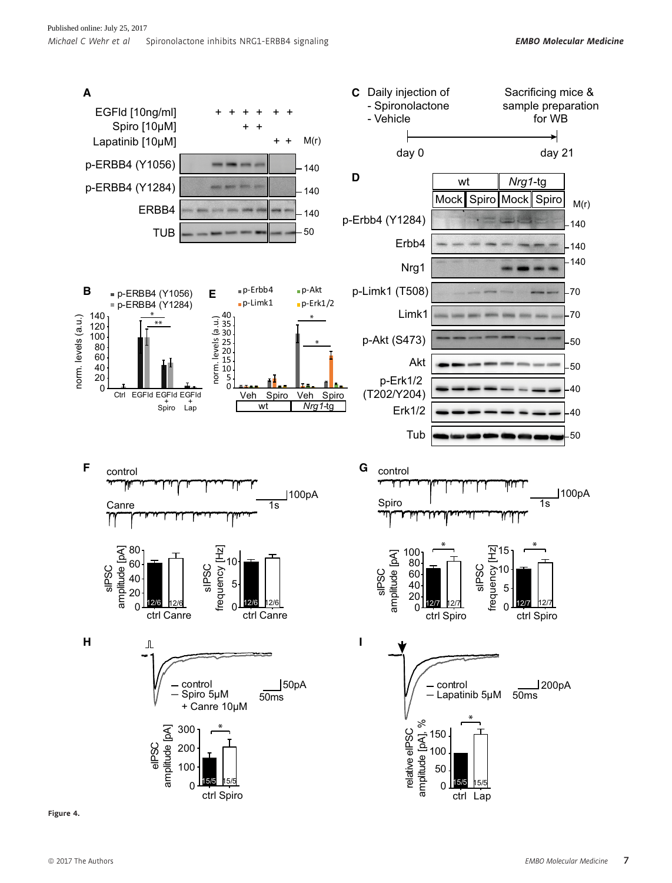

Figure 4.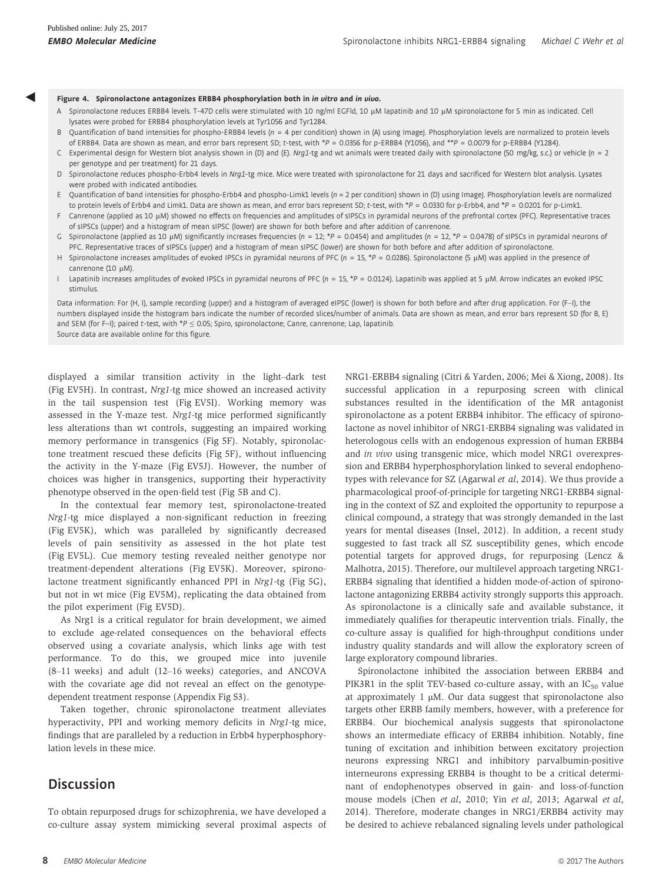◀

- **Figure 4. Spironolactone antagonizes ERBB4 phosphorylation both in** *in vitro* **and** *in vivo***.<br>A Spironolactone reduces ERBB4 levels. T-47D cells were stimulated with 10 ng/ml EGFld, 10 μM lapatinib and 10 μM spironolacton** lysates were probed for ERBB4 phosphorylation levels at Tyr1056 and Tyr1284.
- B Quantification of band intensities for phospho-ERBB4 levels ( $n = 4$  per condition) shown in (A) using ImageJ. Phosphorylation levels are normalized to protein levels of ERBB4. Data are shown as mean, and error bars represent SD; t-test, with \*P = 0.0356 for p-ERBB4 (Y1056), and \*\*P = 0.0079 for p-ERBB4 (Y1284).
- C Experimental design for Western blot analysis shown in (D) and (E). Nrg1-tg and wt animals were treated daily with spironolactone (50 mg/kg, s.c.) or vehicle (n = 2 per genotype and per treatment) for 21 days.
- D Spironolactone reduces phospho-Erbb4 levels in Nrg1-tg mice. Mice were treated with spironolactone for 21 days and sacrificed for Western blot analysis. Lysates were probed with indicated antibodies.
- E Quantification of band intensities for phospho-Erbb4 and phospho-Limk1 levels (n = 2 per condition) shown in (D) using ImageJ. Phosphorylation levels are normalized to protein levels of Erbb4 and Limk1. Data are shown as mean, and error bars represent SD; t-test, with \*P = 0.0330 for p-Erbb4, and \*P = 0.0201 for p-Limk1.
- F Canrenone (applied as 10 µM) showed no effects on frequencies and amplitudes of sIPSCs in pyramidal neurons of the prefrontal cortex (PFC). Representative traces of sIPSCs (upper) and a histogram of mean sIPSC (lower) are shown for both before and after addition of canrenone.
- G Spironolactone (applied as 10 µM) significantly increases frequencies (n = 12; \*P = 0.0454) and amplitudes (n = 12, \*P = 0.0478) of sIPSCs in pyramidal neurons of PFC. Representative traces of sIPSCs (upper) and a histogram of mean sIPSC (lower) are shown for both before and after addition of spironolactone.
- H Spironolactone increases amplitudes of evoked IPSCs in pyramidal neurons of PFC (n = 15, \*P = 0.0286). Spironolactone (5 µM) was applied in the presence of canrenone (10  $\mu$ M).
- I Lapatinib increases amplitudes of evoked IPSCs in pyramidal neurons of PFC ( $n = 15$ , \*P = 0.0124). Lapatinib was applied at 5 µM. Arrow indicates an evoked IPSC stimulus.

Data information: For (H, I), sample recording (upper) and a histogram of averaged eIPSC (lower) is shown for both before and after drug application. For (F-I), the numbers displayed inside the histogram bars indicate the number of recorded slices/number of animals. Data are shown as mean, and error bars represent SD (for B, E) and SEM (for F–I); paired t-test, with \*P  $\leq$  0.05; Spiro, spironolactone; Canre, canrenone; Lap, lapatinib. Source data are available online for this figure.

displayed a similar transition activity in the light–dark test (Fig EV5H). In contrast, Nrg1-tg mice showed an increased activity in the tail suspension test (Fig EV5I). Working memory was assessed in the Y-maze test. Nrg1-tg mice performed significantly less alterations than wt controls, suggesting an impaired working memory performance in transgenics (Fig 5F). Notably, spironolactone treatment rescued these deficits (Fig 5F), without influencing the activity in the Y-maze (Fig EV5J). However, the number of choices was higher in transgenics, supporting their hyperactivity phenotype observed in the open-field test (Fig 5B and C).

In the contextual fear memory test, spironolactone-treated Nrg1-tg mice displayed a non-significant reduction in freezing (Fig EV5K), which was paralleled by significantly decreased levels of pain sensitivity as assessed in the hot plate test (Fig EV5L). Cue memory testing revealed neither genotype nor treatment-dependent alterations (Fig EV5K). Moreover, spironolactone treatment significantly enhanced PPI in Nrg1-tg (Fig 5G), but not in wt mice (Fig EV5M), replicating the data obtained from the pilot experiment (Fig EV5D).

As Nrg1 is a critical regulator for brain development, we aimed to exclude age-related consequences on the behavioral effects observed using a covariate analysis, which links age with test performance. To do this, we grouped mice into juvenile (8–11 weeks) and adult (12–16 weeks) categories, and ANCOVA with the covariate age did not reveal an effect on the genotypedependent treatment response (Appendix Fig S3).

Taken together, chronic spironolactone treatment alleviates hyperactivity, PPI and working memory deficits in Nrg1-tg mice, findings that are paralleled by a reduction in Erbb4 hyperphosphorylation levels in these mice.

## **Discussion**

To obtain repurposed drugs for schizophrenia, we have developed a co-culture assay system mimicking several proximal aspects of NRG1-ERBB4 signaling (Citri & Yarden, 2006; Mei & Xiong, 2008). Its successful application in a repurposing screen with clinical substances resulted in the identification of the MR antagonist spironolactone as a potent ERBB4 inhibitor. The efficacy of spironolactone as novel inhibitor of NRG1-ERBB4 signaling was validated in heterologous cells with an endogenous expression of human ERBB4 and in vivo using transgenic mice, which model NRG1 overexpression and ERBB4 hyperphosphorylation linked to several endophenotypes with relevance for SZ (Agarwal et al, 2014). We thus provide a pharmacological proof-of-principle for targeting NRG1-ERBB4 signaling in the context of SZ and exploited the opportunity to repurpose a clinical compound, a strategy that was strongly demanded in the last years for mental diseases (Insel, 2012). In addition, a recent study suggested to fast track all SZ susceptibility genes, which encode potential targets for approved drugs, for repurposing (Lencz & Malhotra, 2015). Therefore, our multilevel approach targeting NRG1- ERBB4 signaling that identified a hidden mode-of-action of spironolactone antagonizing ERBB4 activity strongly supports this approach. As spironolactone is a clinically safe and available substance, it immediately qualifies for therapeutic intervention trials. Finally, the co-culture assay is qualified for high-throughput conditions under industry quality standards and will allow the exploratory screen of large exploratory compound libraries.

Spironolactone inhibited the association between ERBB4 and PIK3R1 in the split TEV-based co-culture assay, with an  $IC_{50}$  value at approximately 1  $\mu$ M. Our data suggest that spironolactone also targets other ERBB family members, however, with a preference for ERBB4. Our biochemical analysis suggests that spironolactone shows an intermediate efficacy of ERBB4 inhibition. Notably, fine tuning of excitation and inhibition between excitatory projection neurons expressing NRG1 and inhibitory parvalbumin-positive interneurons expressing ERBB4 is thought to be a critical determinant of endophenotypes observed in gain- and loss-of-function mouse models (Chen et al, 2010; Yin et al, 2013; Agarwal et al, 2014). Therefore, moderate changes in NRG1/ERBB4 activity may be desired to achieve rebalanced signaling levels under pathological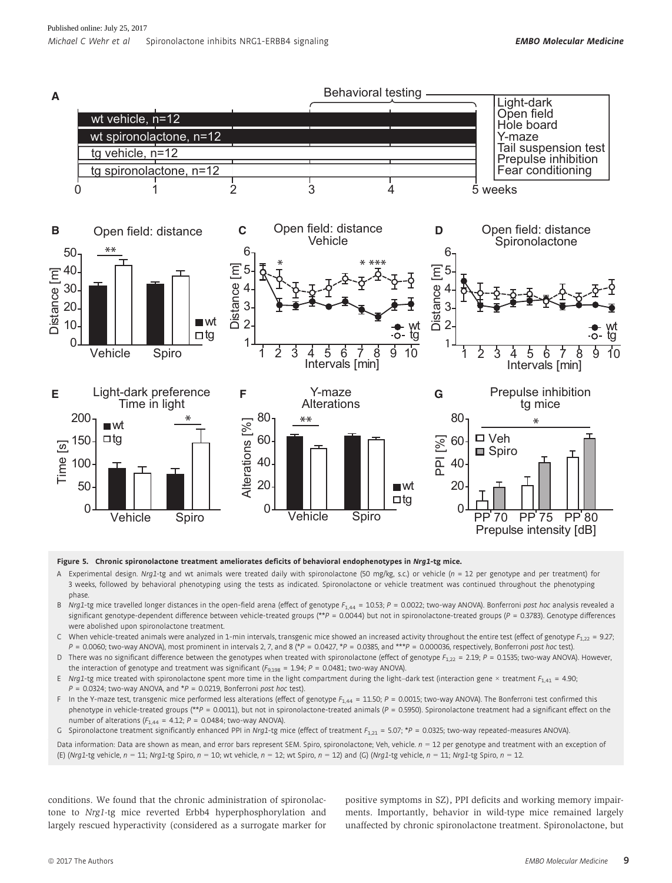

#### Figure 5. Chronic spironolactone treatment ameliorates deficits of behavioral endophenotypes in Nrg1-tg mice.

- A Experimental design. Nrg1-tg and wt animals were treated daily with spironolactone (50 mg/kg, s.c.) or vehicle (n = 12 per genotype and per treatment) for 3 weeks, followed by behavioral phenotyping using the tests as indicated. Spironolactone or vehicle treatment was continued throughout the phenotyping phase.
- B Nrg1-tg mice travelled longer distances in the open-field arena (effect of genotype  $F_{1,44} = 10.53$ ; P = 0.0022; two-way ANOVA). Bonferroni post hoc analysis revealed a significant genotype-dependent difference between vehicle-treated groups (\*\*P = 0.0044) but not in spironolactone-treated groups (P = 0.3783). Genotype differences were abolished upon spironolactone treatment.
- C When vehicle-treated animals were analyzed in 1-min intervals, transgenic mice showed an increased activity throughout the entire test (effect of genotype  $F_{1,22} = 9.27$ ;  $P = 0.0060$ ; two-way ANOVA), most prominent in intervals 2, 7, and 8 (\* $P = 0.0427$ , \* $P = 0.0385$ , and \*\*\* $P = 0.000036$ , respectively, Bonferroni post hoc test).
- D There was no significant difference between the genotypes when treated with spironolactone (effect of genotype  $F_{1,22} = 2.19$ ; P = 0.1535; two-way ANOVA). However, the interaction of genotype and treatment was significant ( $F_{9,198}$  = 1.94; P = 0.0481; two-way ANOVA).
- E Nrg1-tg mice treated with spironolactone spent more time in the light compartment during the light–dark test (interaction gene × treatment  $F_{1,41} = 4.90$ ;  $P = 0.0324$ ; two-way ANOVA, and \*P = 0.0219, Bonferroni post hoc test).
- F In the Y-maze test, transgenic mice performed less alterations (effect of genotype  $F_{1.44} = 11.50$ ; P = 0.0015; two-way ANOVA). The Bonferroni test confirmed this phenotype in vehicle-treated groups (\*\*P = 0.0011), but not in spironolactone-treated animals (P = 0.5950). Spironolactone treatment had a significant effect on the number of alterations ( $F_{1,44}$  = 4.12;  $P = 0.0484$ ; two-way ANOVA).
- G Spironolactone treatment significantly enhanced PPI in Nrg1-tg mice (effect of treatment  $F_{1,21} = 5.07$ ; \*P = 0.0325; two-way repeated-measures ANOVA).

Data information: Data are shown as mean, and error bars represent SEM. Spiro, spironolactone; Veh, vehicle.  $n = 12$  per genotype and treatment with an exception of (E) (Nrg1-tg vehicle,  $n = 11$ ; Nrg1-tg Spiro,  $n = 10$ ; wt vehicle,  $n = 12$ ; wt Spiro,  $n = 12$ ) and (G) (Nrg1-tg vehicle,  $n = 11$ ; Nrg1-tg Spiro,  $n = 12$ .

conditions. We found that the chronic administration of spironolactone to Nrg1-tg mice reverted Erbb4 hyperphosphorylation and largely rescued hyperactivity (considered as a surrogate marker for

positive symptoms in SZ), PPI deficits and working memory impairments. Importantly, behavior in wild-type mice remained largely unaffected by chronic spironolactone treatment. Spironolactone, but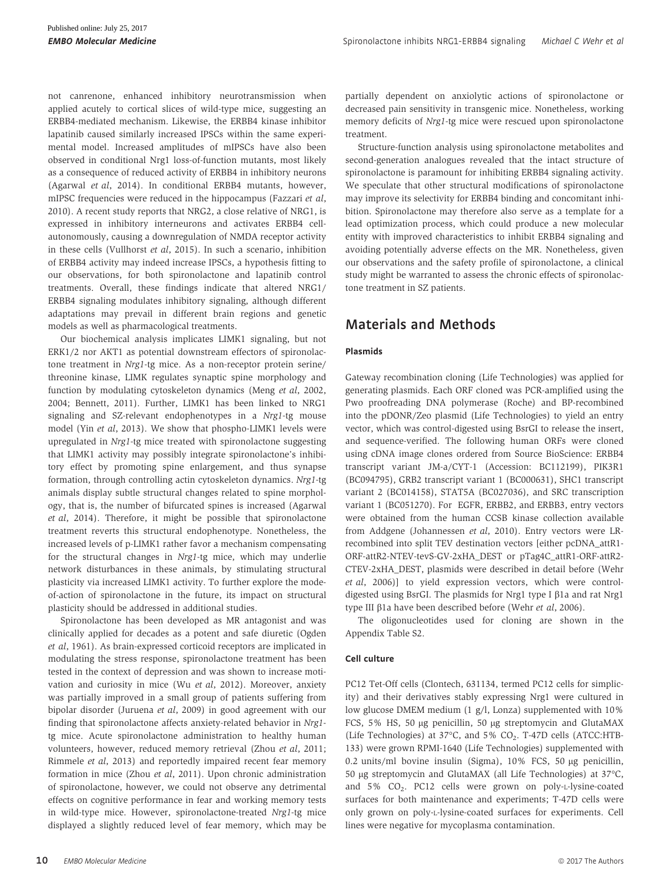not canrenone, enhanced inhibitory neurotransmission when applied acutely to cortical slices of wild-type mice, suggesting an ERBB4-mediated mechanism. Likewise, the ERBB4 kinase inhibitor lapatinib caused similarly increased IPSCs within the same experimental model. Increased amplitudes of mIPSCs have also been observed in conditional Nrg1 loss-of-function mutants, most likely as a consequence of reduced activity of ERBB4 in inhibitory neurons (Agarwal et al, 2014). In conditional ERBB4 mutants, however, mIPSC frequencies were reduced in the hippocampus (Fazzari et al, 2010). A recent study reports that NRG2, a close relative of NRG1, is expressed in inhibitory interneurons and activates ERBB4 cellautonomously, causing a downregulation of NMDA receptor activity in these cells (Vullhorst et al, 2015). In such a scenario, inhibition of ERBB4 activity may indeed increase IPSCs, a hypothesis fitting to our observations, for both spironolactone and lapatinib control treatments. Overall, these findings indicate that altered NRG1/ ERBB4 signaling modulates inhibitory signaling, although different adaptations may prevail in different brain regions and genetic models as well as pharmacological treatments.

Our biochemical analysis implicates LIMK1 signaling, but not ERK1/2 nor AKT1 as potential downstream effectors of spironolactone treatment in Nrg1-tg mice. As a non-receptor protein serine/ threonine kinase, LIMK regulates synaptic spine morphology and function by modulating cytoskeleton dynamics (Meng et al, 2002, 2004; Bennett, 2011). Further, LIMK1 has been linked to NRG1 signaling and SZ-relevant endophenotypes in a Nrg1-tg mouse model (Yin et al, 2013). We show that phospho-LIMK1 levels were upregulated in Nrg1-tg mice treated with spironolactone suggesting that LIMK1 activity may possibly integrate spironolactone's inhibitory effect by promoting spine enlargement, and thus synapse formation, through controlling actin cytoskeleton dynamics. Nrg1-tg animals display subtle structural changes related to spine morphology, that is, the number of bifurcated spines is increased (Agarwal et al, 2014). Therefore, it might be possible that spironolactone treatment reverts this structural endophenotype. Nonetheless, the increased levels of p-LIMK1 rather favor a mechanism compensating for the structural changes in Nrg1-tg mice, which may underlie network disturbances in these animals, by stimulating structural plasticity via increased LIMK1 activity. To further explore the modeof-action of spironolactone in the future, its impact on structural plasticity should be addressed in additional studies.

Spironolactone has been developed as MR antagonist and was clinically applied for decades as a potent and safe diuretic (Ogden et al, 1961). As brain-expressed corticoid receptors are implicated in modulating the stress response, spironolactone treatment has been tested in the context of depression and was shown to increase motivation and curiosity in mice (Wu et al, 2012). Moreover, anxiety was partially improved in a small group of patients suffering from bipolar disorder (Juruena et al, 2009) in good agreement with our finding that spironolactone affects anxiety-related behavior in Nrg1 tg mice. Acute spironolactone administration to healthy human volunteers, however, reduced memory retrieval (Zhou et al, 2011; Rimmele et al, 2013) and reportedly impaired recent fear memory formation in mice (Zhou et al, 2011). Upon chronic administration of spironolactone, however, we could not observe any detrimental effects on cognitive performance in fear and working memory tests in wild-type mice. However, spironolactone-treated Nrg1-tg mice displayed a slightly reduced level of fear memory, which may be partially dependent on anxiolytic actions of spironolactone or decreased pain sensitivity in transgenic mice. Nonetheless, working memory deficits of Nrg1-tg mice were rescued upon spironolactone treatment.

Structure-function analysis using spironolactone metabolites and second-generation analogues revealed that the intact structure of spironolactone is paramount for inhibiting ERBB4 signaling activity. We speculate that other structural modifications of spironolactone may improve its selectivity for ERBB4 binding and concomitant inhibition. Spironolactone may therefore also serve as a template for a lead optimization process, which could produce a new molecular entity with improved characteristics to inhibit ERBB4 signaling and avoiding potentially adverse effects on the MR. Nonetheless, given our observations and the safety profile of spironolactone, a clinical study might be warranted to assess the chronic effects of spironolactone treatment in SZ patients.

## Materials and Methods

#### Plasmids

Gateway recombination cloning (Life Technologies) was applied for generating plasmids. Each ORF cloned was PCR-amplified using the Pwo proofreading DNA polymerase (Roche) and BP-recombined into the pDONR/Zeo plasmid (Life Technologies) to yield an entry vector, which was control-digested using BsrGI to release the insert, and sequence-verified. The following human ORFs were cloned using cDNA image clones ordered from Source BioScience: ERBB4 transcript variant JM-a/CYT-1 (Accession: BC112199), PIK3R1 (BC094795), GRB2 transcript variant 1 (BC000631), SHC1 transcript variant 2 (BC014158), STAT5A (BC027036), and SRC transcription variant 1 (BC051270). For EGFR, ERBB2, and ERBB3, entry vectors were obtained from the human CCSB kinase collection available from Addgene (Johannessen et al, 2010). Entry vectors were LRrecombined into split TEV destination vectors [either pcDNA\_attR1- ORF-attR2-NTEV-tevS-GV-2xHA\_DEST or pTag4C\_attR1-ORF-attR2- CTEV-2xHA\_DEST, plasmids were described in detail before (Wehr et al, 2006)] to yield expression vectors, which were controldigested using BsrGI. The plasmids for Nrg1 type I  $\beta$ 1a and rat Nrg1 type III β1a have been described before (Wehr et al, 2006).

The oligonucleotides used for cloning are shown in the Appendix Table S2.

#### Cell culture

PC12 Tet-Off cells (Clontech, 631134, termed PC12 cells for simplicity) and their derivatives stably expressing Nrg1 were cultured in low glucose DMEM medium (1 g/l, Lonza) supplemented with 10% FCS, 5% HS, 50 µg penicillin, 50 µg streptomycin and GlutaMAX (Life Technologies) at  $37^{\circ}$ C, and  $5\%$  CO<sub>2</sub>. T-47D cells (ATCC:HTB-133) were grown RPMI-1640 (Life Technologies) supplemented with 0.2 units/ml bovine insulin (Sigma),  $10\%$  FCS,  $50 \mu g$  penicillin, 50 lg streptomycin and GlutaMAX (all Life Technologies) at 37°C, and 5% CO<sub>2</sub>. PC12 cells were grown on poly-L-lysine-coated surfaces for both maintenance and experiments; T-47D cells were only grown on poly-L-lysine-coated surfaces for experiments. Cell lines were negative for mycoplasma contamination.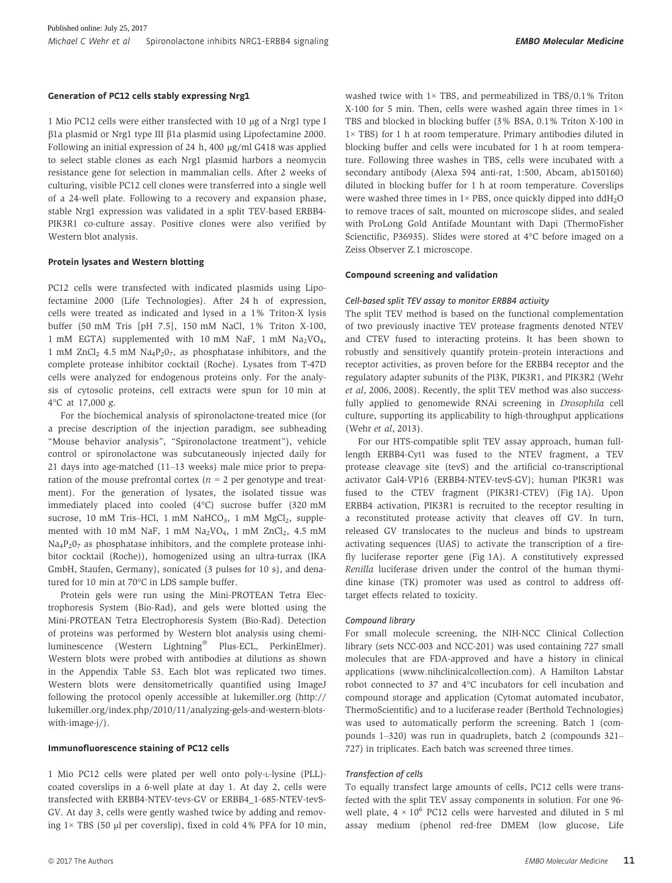#### Generation of PC12 cells stably expressing Nrg1

1 Mio PC12 cells were either transfected with 10 µg of a Nrg1 type I  $\beta$ 1a plasmid or Nrg1 type III  $\beta$ 1a plasmid using Lipofectamine 2000. Following an initial expression of 24 h, 400 µg/ml G418 was applied to select stable clones as each Nrg1 plasmid harbors a neomycin resistance gene for selection in mammalian cells. After 2 weeks of culturing, visible PC12 cell clones were transferred into a single well of a 24-well plate. Following to a recovery and expansion phase, stable Nrg1 expression was validated in a split TEV-based ERBB4- PIK3R1 co-culture assay. Positive clones were also verified by Western blot analysis.

#### Protein lysates and Western blotting

PC12 cells were transfected with indicated plasmids using Lipofectamine 2000 (Life Technologies). After 24 h of expression, cells were treated as indicated and lysed in a 1% Triton-X lysis buffer (50 mM Tris [pH 7.5], 150 mM NaCl, 1% Triton X-100, 1 mM EGTA) supplemented with 10 mM NaF, 1 mM Na2VO4, 1 mM  $ZnCl<sub>2</sub>$  4.5 mM  $Na<sub>4</sub>P<sub>2</sub>O<sub>7</sub>$ , as phosphatase inhibitors, and the complete protease inhibitor cocktail (Roche). Lysates from T-47D cells were analyzed for endogenous proteins only. For the analysis of cytosolic proteins, cell extracts were spun for 10 min at 4°C at 17,000 g.

For the biochemical analysis of spironolactone-treated mice (for a precise description of the injection paradigm, see subheading "Mouse behavior analysis", "Spironolactone treatment"), vehicle control or spironolactone was subcutaneously injected daily for 21 days into age-matched (11–13 weeks) male mice prior to preparation of the mouse prefrontal cortex ( $n = 2$  per genotype and treatment). For the generation of lysates, the isolated tissue was immediately placed into cooled (4°C) sucrose buffer (320 mM sucrose, 10 mM Tris–HCl, 1 mM NaHCO<sub>3</sub>, 1 mM MgCl<sub>2</sub>, supplemented with 10 mM NaF, 1 mM  $Na<sub>2</sub>VO<sub>4</sub>$ , 1 mM  $ZnCl<sub>2</sub>$ , 4.5 mM Na<sub>4</sub>P<sub>2</sub>0<sub>7</sub> as phosphatase inhibitors, and the complete protease inhibitor cocktail (Roche)), homogenized using an ultra-turrax (IKA GmbH, Staufen, Germany), sonicated (3 pulses for 10 s), and denatured for 10 min at 70°C in LDS sample buffer.

Protein gels were run using the Mini-PROTEAN Tetra Electrophoresis System (Bio-Rad), and gels were blotted using the Mini-PROTEAN Tetra Electrophoresis System (Bio-Rad). Detection of proteins was performed by Western blot analysis using chemiluminescence (Western Lightning® Plus-ECL, PerkinElmer). Western blots were probed with antibodies at dilutions as shown in the Appendix Table S3. Each blot was replicated two times. Western blots were densitometrically quantified using ImageJ following the protocol openly accessible at [lukemiller.org](http://lukemiller.org) ([http://](http://lukemiller.org/index.php/2010/11/analyzing-gels-and-western-blots-with-image-j/) [lukemiller.org/index.php/2010/11/analyzing-gels-and-western-blots](http://lukemiller.org/index.php/2010/11/analyzing-gels-and-western-blots-with-image-j/)[with-image-j/\)](http://lukemiller.org/index.php/2010/11/analyzing-gels-and-western-blots-with-image-j/).

#### Immunofluorescence staining of PC12 cells

1 Mio PC12 cells were plated per well onto poly-L-lysine (PLL) coated coverslips in a 6-well plate at day 1. At day 2, cells were transfected with ERBB4-NTEV-tevs-GV or ERBB4\_1-685-NTEV-tevS-GV. At day 3, cells were gently washed twice by adding and removing  $1 \times TBS$  (50 µl per coverslip), fixed in cold 4% PFA for 10 min, washed twice with  $1 \times$  TBS, and permeabilized in TBS/0.1% Triton X-100 for 5 min. Then, cells were washed again three times in  $1 \times$ TBS and blocked in blocking buffer (3% BSA, 0.1% Triton X-100 in 1× TBS) for 1 h at room temperature. Primary antibodies diluted in blocking buffer and cells were incubated for 1 h at room temperature. Following three washes in TBS, cells were incubated with a secondary antibody (Alexa 594 anti-rat, 1:500, Abcam, ab150160) diluted in blocking buffer for 1 h at room temperature. Coverslips were washed three times in  $1 \times PBS$ , once quickly dipped into ddH<sub>2</sub>O to remove traces of salt, mounted on microscope slides, and sealed with ProLong Gold Antifade Mountant with Dapi (ThermoFisher Scienctific, P36935). Slides were stored at 4°C before imaged on a Zeiss Observer Z.1 microscope.

#### Compound screening and validation

#### Cell-based split TEV assay to monitor ERBB4 activity

The split TEV method is based on the functional complementation of two previously inactive TEV protease fragments denoted NTEV and CTEV fused to interacting proteins. It has been shown to robustly and sensitively quantify protein–protein interactions and receptor activities, as proven before for the ERBB4 receptor and the regulatory adapter subunits of the PI3K, PIK3R1, and PIK3R2 (Wehr et al, 2006, 2008). Recently, the split TEV method was also successfully applied to genomewide RNAi screening in Drosophila cell culture, supporting its applicability to high-throughput applications (Wehr et al, 2013).

For our HTS-compatible split TEV assay approach, human fulllength ERBB4-Cyt1 was fused to the NTEV fragment, a TEV protease cleavage site (tevS) and the artificial co-transcriptional activator Gal4-VP16 (ERBB4-NTEV-tevS-GV); human PIK3R1 was fused to the CTEV fragment (PIK3R1-CTEV) (Fig 1A). Upon ERBB4 activation, PIK3R1 is recruited to the receptor resulting in a reconstituted protease activity that cleaves off GV. In turn, released GV translocates to the nucleus and binds to upstream activating sequences (UAS) to activate the transcription of a firefly luciferase reporter gene (Fig 1A). A constitutively expressed Renilla luciferase driven under the control of the human thymidine kinase (TK) promoter was used as control to address offtarget effects related to toxicity.

#### Compound library

For small molecule screening, the NIH-NCC Clinical Collection library (sets NCC-003 and NCC-201) was used containing 727 small molecules that are FDA-approved and have a history in clinical applications ([www.nihclinicalcollection.com\)](http://www.nihclinicalcollection.com). A Hamilton Labstar robot connected to 37 and 4°C incubators for cell incubation and compound storage and application (Cytomat automated incubator, ThermoScientific) and to a luciferase reader (Berthold Technologies) was used to automatically perform the screening. Batch 1 (compounds 1–320) was run in quadruplets, batch 2 (compounds 321– 727) in triplicates. Each batch was screened three times.

#### Transfection of cells

To equally transfect large amounts of cells, PC12 cells were transfected with the split TEV assay components in solution. For one 96 well plate,  $4 \times 10^6$  PC12 cells were harvested and diluted in 5 ml assay medium (phenol red-free DMEM (low glucose, Life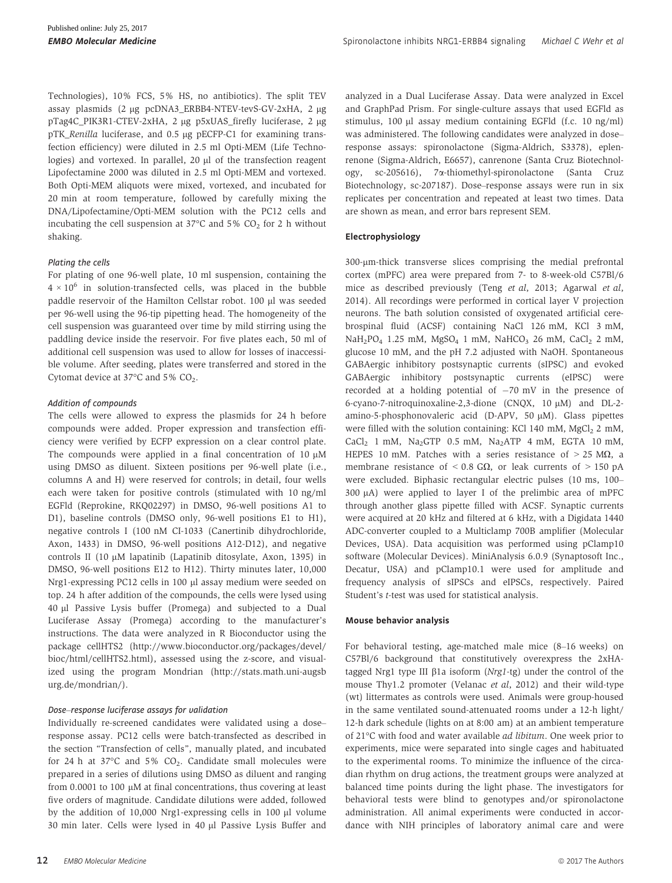Technologies), 10% FCS, 5% HS, no antibiotics). The split TEV assay plasmids (2 ug pcDNA3 ERBB4-NTEV-tevS-GV-2xHA, 2 ug pTag4C\_PIK3R1-CTEV-2xHA, 2 µg p5xUAS\_firefly luciferase, 2 µg pTK\_Renilla luciferase, and 0.5 µg pECFP-C1 for examining transfection efficiency) were diluted in 2.5 ml Opti-MEM (Life Technologies) and vortexed. In parallel,  $20 \mu l$  of the transfection reagent Lipofectamine 2000 was diluted in 2.5 ml Opti-MEM and vortexed. Both Opti-MEM aliquots were mixed, vortexed, and incubated for 20 min at room temperature, followed by carefully mixing the DNA/Lipofectamine/Opti-MEM solution with the PC12 cells and incubating the cell suspension at  $37^{\circ}$ C and  $5\%$  CO<sub>2</sub> for 2 h without shaking.

#### Plating the cells

For plating of one 96-well plate, 10 ml suspension, containing the  $4 \times 10^6$  in solution-transfected cells, was placed in the bubble paddle reservoir of the Hamilton Cellstar robot. 100 µl was seeded per 96-well using the 96-tip pipetting head. The homogeneity of the cell suspension was guaranteed over time by mild stirring using the paddling device inside the reservoir. For five plates each, 50 ml of additional cell suspension was used to allow for losses of inaccessible volume. After seeding, plates were transferred and stored in the Cytomat device at 37°C and 5% CO2.

#### Addition of compounds

The cells were allowed to express the plasmids for 24 h before compounds were added. Proper expression and transfection efficiency were verified by ECFP expression on a clear control plate. The compounds were applied in a final concentration of 10  $\mu$ M using DMSO as diluent. Sixteen positions per 96-well plate (i.e., columns A and H) were reserved for controls; in detail, four wells each were taken for positive controls (stimulated with 10 ng/ml EGFld (Reprokine, RKQ02297) in DMSO, 96-well positions A1 to D1), baseline controls (DMSO only, 96-well positions E1 to H1), negative controls I (100 nM CI-1033 (Canertinib dihydrochloride, Axon, 1433) in DMSO, 96-well positions A12-D12), and negative controls II (10  $\mu$ M lapatinib (Lapatinib ditosylate, Axon, 1395) in DMSO, 96-well positions E12 to H12). Thirty minutes later, 10,000 Nrg1-expressing PC12 cells in 100 µl assay medium were seeded on top. 24 h after addition of the compounds, the cells were lysed using 40 ll Passive Lysis buffer (Promega) and subjected to a Dual Luciferase Assay (Promega) according to the manufacturer's instructions. The data were analyzed in R Bioconductor using the package cellHTS2 ([http://www.bioconductor.org/packages/devel/](http://www.bioconductor.org/packages/devel/bioc/html/cellHTS2.html) [bioc/html/cellHTS2.html\)](http://www.bioconductor.org/packages/devel/bioc/html/cellHTS2.html), assessed using the z-score, and visualized using the program Mondrian ([http://stats.math.uni-augsb](http://stats.math.uni-augsburg.de/mondrian/) [urg.de/mondrian/](http://stats.math.uni-augsburg.de/mondrian/)).

#### Dose–response luciferase assays for validation

Individually re-screened candidates were validated using a dose– response assay. PC12 cells were batch-transfected as described in the section "Transfection of cells", manually plated, and incubated for 24 h at 37 $\degree$ C and 5% CO<sub>2</sub>. Candidate small molecules were prepared in a series of dilutions using DMSO as diluent and ranging from  $0.0001$  to  $100 \mu M$  at final concentrations, thus covering at least five orders of magnitude. Candidate dilutions were added, followed by the addition of 10,000 Nrg1-expressing cells in 100  $\mu$ l volume 30 min later. Cells were lysed in 40 µl Passive Lysis Buffer and analyzed in a Dual Luciferase Assay. Data were analyzed in Excel and GraphPad Prism. For single-culture assays that used EGFld as stimulus, 100 µl assay medium containing EGFld (f.c. 10 ng/ml) was administered. The following candidates were analyzed in dose– response assays: spironolactone (Sigma-Aldrich, S3378), eplenrenone (Sigma-Aldrich, E6657), canrenone (Santa Cruz Biotechnology, sc-205616), 7a-thiomethyl-spironolactone (Santa Cruz Biotechnology, sc-207187). Dose–response assays were run in six replicates per concentration and repeated at least two times. Data are shown as mean, and error bars represent SEM.

#### Electrophysiology

300-lm-thick transverse slices comprising the medial prefrontal cortex (mPFC) area were prepared from 7- to 8-week-old C57Bl/6 mice as described previously (Teng et al, 2013; Agarwal et al, 2014). All recordings were performed in cortical layer V projection neurons. The bath solution consisted of oxygenated artificial cerebrospinal fluid (ACSF) containing NaCl 126 mM, KCl 3 mM,  $NaH_2PO_4$  1.25 mM,  $MgSO_4$  1 mM,  $NaHCO_3$  26 mM,  $CaCl_2$  2 mM, glucose 10 mM, and the pH 7.2 adjusted with NaOH. Spontaneous GABAergic inhibitory postsynaptic currents (sIPSC) and evoked GABAergic inhibitory postsynaptic currents (eIPSC) were recorded at a holding potential of  $-70$  mV in the presence of 6-cyano-7-nitroquinoxaline-2,3-dione  $(CNOX, 10 \mu M)$  and DL-2amino-5-phosphonovaleric acid (D-APV, 50 µM). Glass pipettes were filled with the solution containing: KCl 140 mM, MgCl<sub>2</sub> 2 mM,  $CaCl<sub>2</sub>$  1 mM, Na<sub>2</sub>GTP 0.5 mM, Na<sub>2</sub>ATP 4 mM, EGTA 10 mM, HEPES 10 mM. Patches with a series resistance of  $>$  25 M $\Omega$ , a membrane resistance of  $< 0.8$  G $\Omega$ , or leak currents of  $> 150$  pA were excluded. Biphasic rectangular electric pulses (10 ms, 100–  $300 \mu A$ ) were applied to layer I of the prelimbic area of mPFC through another glass pipette filled with ACSF. Synaptic currents were acquired at 20 kHz and filtered at 6 kHz, with a Digidata 1440 ADC-converter coupled to a Multiclamp 700B amplifier (Molecular Devices, USA). Data acquisition was performed using pClamp10 software (Molecular Devices). MiniAnalysis 6.0.9 (Synaptosoft Inc., Decatur, USA) and pClamp10.1 were used for amplitude and frequency analysis of sIPSCs and eIPSCs, respectively. Paired Student's t-test was used for statistical analysis.

#### Mouse behavior analysis

For behavioral testing, age-matched male mice (8–16 weeks) on C57Bl/6 background that constitutively overexpress the 2xHAtagged Nrg1 type III  $\beta$ 1a isoform (Nrg1-tg) under the control of the mouse Thy1.2 promoter (Velanac et al, 2012) and their wild-type (wt) littermates as controls were used. Animals were group-housed in the same ventilated sound-attenuated rooms under a 12-h light/ 12-h dark schedule (lights on at 8:00 am) at an ambient temperature of 21°C with food and water available ad libitum. One week prior to experiments, mice were separated into single cages and habituated to the experimental rooms. To minimize the influence of the circadian rhythm on drug actions, the treatment groups were analyzed at balanced time points during the light phase. The investigators for behavioral tests were blind to genotypes and/or spironolactone administration. All animal experiments were conducted in accordance with NIH principles of laboratory animal care and were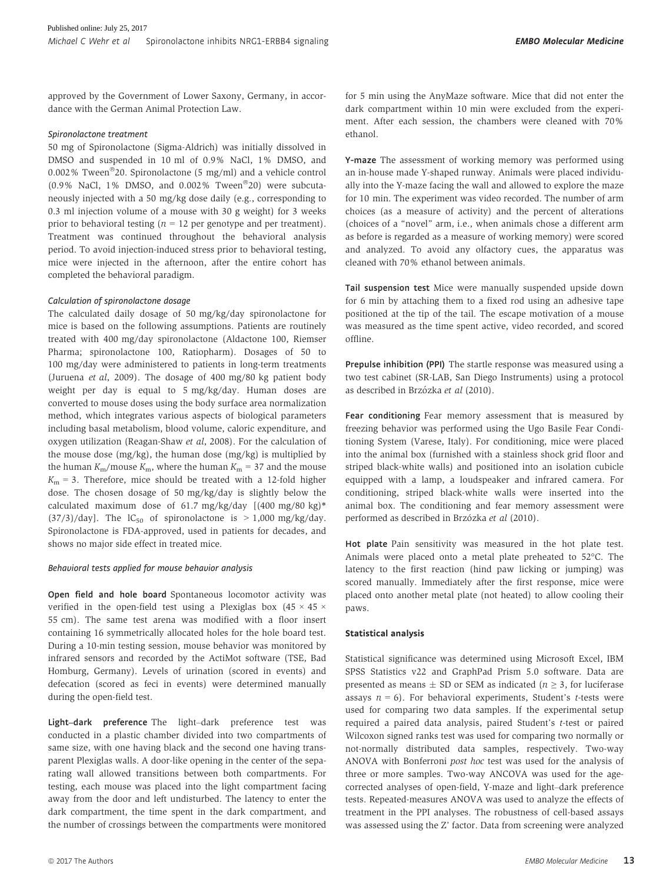approved by the Government of Lower Saxony, Germany, in accordance with the German Animal Protection Law.

#### Spironolactone treatment

50 mg of Spironolactone (Sigma-Aldrich) was initially dissolved in DMSO and suspended in 10 ml of 0.9% NaCl, 1% DMSO, and  $0.002\,\%$  Tween $^\circledR$ 20. Spironolactone (5 mg/ml) and a vehicle control (0.9% NaCl, 1% DMSO, and 0.002% Tween<sup>®</sup>20) were subcutaneously injected with a 50 mg/kg dose daily (e.g., corresponding to 0.3 ml injection volume of a mouse with 30 g weight) for 3 weeks prior to behavioral testing ( $n = 12$  per genotype and per treatment). Treatment was continued throughout the behavioral analysis period. To avoid injection-induced stress prior to behavioral testing, mice were injected in the afternoon, after the entire cohort has completed the behavioral paradigm.

#### Calculation of spironolactone dosage

The calculated daily dosage of 50 mg/kg/day spironolactone for mice is based on the following assumptions. Patients are routinely treated with 400 mg/day spironolactone (Aldactone 100, Riemser Pharma; spironolactone 100, Ratiopharm). Dosages of 50 to 100 mg/day were administered to patients in long-term treatments (Juruena et al, 2009). The dosage of 400 mg/80 kg patient body weight per day is equal to 5 mg/kg/day. Human doses are converted to mouse doses using the body surface area normalization method, which integrates various aspects of biological parameters including basal metabolism, blood volume, caloric expenditure, and oxygen utilization (Reagan-Shaw et al, 2008). For the calculation of the mouse dose (mg/kg), the human dose (mg/kg) is multiplied by the human  $K_{\rm m}/$ mouse  $K_{\rm m}$ , where the human  $K_{\rm m}$  = 37 and the mouse  $K_m = 3$ . Therefore, mice should be treated with a 12-fold higher dose. The chosen dosage of 50 mg/kg/day is slightly below the calculated maximum dose of 61.7 mg/kg/day  $[(400 \text{ mg}/80 \text{ kg})*$  $(37/3)/day$ ]. The  $IC_{50}$  of spironolactone is  $> 1,000$  mg/kg/day. Spironolactone is FDA-approved, used in patients for decades, and shows no major side effect in treated mice.

#### Behavioral tests applied for mouse behavior analysis

Open field and hole board Spontaneous locomotor activity was verified in the open-field test using a Plexiglas box  $(45 \times 45 \times$ 55 cm). The same test arena was modified with a floor insert containing 16 symmetrically allocated holes for the hole board test. During a 10-min testing session, mouse behavior was monitored by infrared sensors and recorded by the ActiMot software (TSE, Bad Homburg, Germany). Levels of urination (scored in events) and defecation (scored as feci in events) were determined manually during the open-field test.

Light–dark preference The light–dark preference test was conducted in a plastic chamber divided into two compartments of same size, with one having black and the second one having transparent Plexiglas walls. A door-like opening in the center of the separating wall allowed transitions between both compartments. For testing, each mouse was placed into the light compartment facing away from the door and left undisturbed. The latency to enter the dark compartment, the time spent in the dark compartment, and the number of crossings between the compartments were monitored for 5 min using the AnyMaze software. Mice that did not enter the dark compartment within 10 min were excluded from the experiment. After each session, the chambers were cleaned with 70% ethanol.

Y-maze The assessment of working memory was performed using an in-house made Y-shaped runway. Animals were placed individually into the Y-maze facing the wall and allowed to explore the maze for 10 min. The experiment was video recorded. The number of arm choices (as a measure of activity) and the percent of alterations (choices of a "novel" arm, i.e., when animals chose a different arm as before is regarded as a measure of working memory) were scored and analyzed. To avoid any olfactory cues, the apparatus was cleaned with 70% ethanol between animals.

Tail suspension test Mice were manually suspended upside down for 6 min by attaching them to a fixed rod using an adhesive tape positioned at the tip of the tail. The escape motivation of a mouse was measured as the time spent active, video recorded, and scored offline.

Prepulse inhibition (PPI) The startle response was measured using a two test cabinet (SR-LAB, San Diego Instruments) using a protocol as described in Brzózka et al (2010).

Fear conditioning Fear memory assessment that is measured by freezing behavior was performed using the Ugo Basile Fear Conditioning System (Varese, Italy). For conditioning, mice were placed into the animal box (furnished with a stainless shock grid floor and striped black-white walls) and positioned into an isolation cubicle equipped with a lamp, a loudspeaker and infrared camera. For conditioning, striped black-white walls were inserted into the animal box. The conditioning and fear memory assessment were performed as described in Brzózka et al (2010).

Hot plate Pain sensitivity was measured in the hot plate test. Animals were placed onto a metal plate preheated to 52°C. The latency to the first reaction (hind paw licking or jumping) was scored manually. Immediately after the first response, mice were placed onto another metal plate (not heated) to allow cooling their paws.

### Statistical analysis

Statistical significance was determined using Microsoft Excel, IBM SPSS Statistics v22 and GraphPad Prism 5.0 software. Data are presented as means  $\pm$  SD or SEM as indicated ( $n \geq 3$ , for luciferase assays  $n = 6$ ). For behavioral experiments, Student's *t*-tests were used for comparing two data samples. If the experimental setup required a paired data analysis, paired Student's t-test or paired Wilcoxon signed ranks test was used for comparing two normally or not-normally distributed data samples, respectively. Two-way ANOVA with Bonferroni post hoc test was used for the analysis of three or more samples. Two-way ANCOVA was used for the agecorrected analyses of open-field, Y-maze and light–dark preference tests. Repeated-measures ANOVA was used to analyze the effects of treatment in the PPI analyses. The robustness of cell-based assays was assessed using the Z' factor. Data from screening were analyzed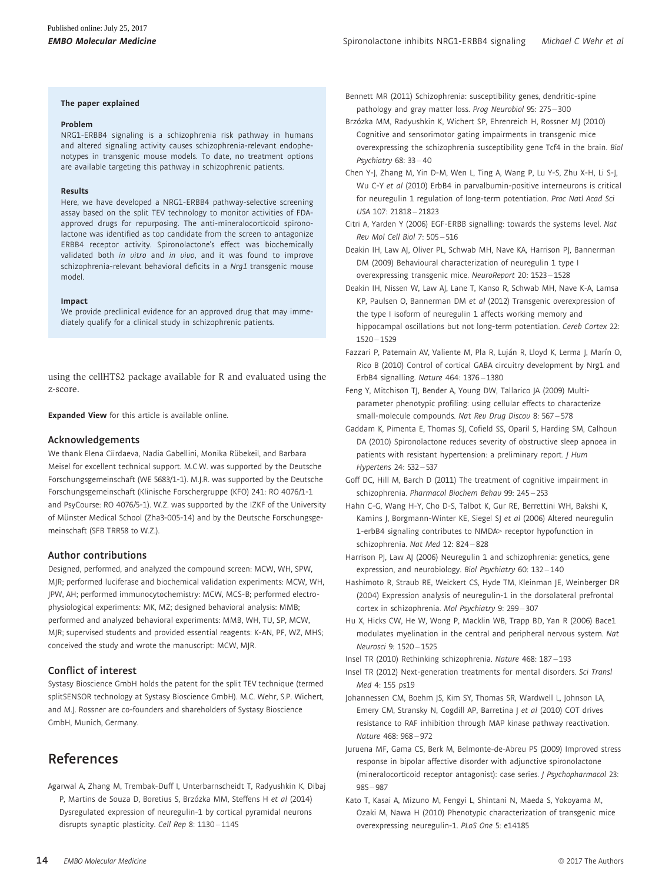#### The paper explained

#### Problem

NRG1-ERBB4 signaling is a schizophrenia risk pathway in humans and altered signaling activity causes schizophrenia-relevant endophenotypes in transgenic mouse models. To date, no treatment options are available targeting this pathway in schizophrenic patients.

#### Results

Here, we have developed a NRG1-ERBB4 pathway-selective screening assay based on the split TEV technology to monitor activities of FDAapproved drugs for repurposing. The anti-mineralocorticoid spironolactone was identified as top candidate from the screen to antagonize ERBB4 receptor activity. Spironolactone's effect was biochemically validated both in vitro and in vivo, and it was found to improve schizophrenia-relevant behavioral deficits in a Nrg1 transgenic mouse model.

#### Impact

We provide preclinical evidence for an approved drug that may immediately qualify for a clinical study in schizophrenic patients.

using the cellHTS2 package available for R and evaluated using the z-score.

**Expanded View** for this article is available [online.](https://doi.org/10.15252/emmm.201707691)

#### Acknowledgements

We thank Elena Ciirdaeva, Nadia Gabellini, Monika Rübekeil, and Barbara Meisel for excellent technical support. M.C.W. was supported by the Deutsche Forschungsgemeinschaft (WE 5683/1-1). M.J.R. was supported by the Deutsche Forschungsgemeinschaft (Klinische Forschergruppe (KFO) 241: RO 4076/1-1 and PsyCourse: RO 4076/5-1). W.Z. was supported by the IZKF of the University of Münster Medical School (Zha3-005-14) and by the Deutsche Forschungsgemeinschaft (SFB TRR58 to W.Z.).

#### Author contributions

Designed, performed, and analyzed the compound screen: MCW, WH, SPW, MJR; performed luciferase and biochemical validation experiments: MCW, WH, JPW, AH; performed immunocytochemistry: MCW, MCS-B; performed electrophysiological experiments: MK, MZ; designed behavioral analysis: MMB; performed and analyzed behavioral experiments: MMB, WH, TU, SP, MCW, MJR; supervised students and provided essential reagents: K-AN, PF, WZ, MHS; conceived the study and wrote the manuscript: MCW, MJR.

#### Conflict of interest

Systasy Bioscience GmbH holds the patent for the split TEV technique (termed splitSENSOR technology at Systasy Bioscience GmbH). M.C. Wehr, S.P. Wichert, and M.J. Rossner are co-founders and shareholders of Systasy Bioscience GmbH, Munich, Germany.

## References

Agarwal A, Zhang M, Trembak-Duff I, Unterbarnscheidt T, Radyushkin K, Dibaj P, Martins de Souza D, Boretius S, Brzózka MM, Steffens H et al (2014) Dysregulated expression of neuregulin-1 by cortical pyramidal neurons disrupts synaptic plasticity. Cell Rep 8: 1130 – 1145

- Bennett MR (2011) Schizophrenia: susceptibility genes, dendritic-spine pathology and gray matter loss. Prog Neurobiol 95: 275 – 300
- Brzózka MM, Radyushkin K, Wichert SP, Ehrenreich H, Rossner MJ (2010) Cognitive and sensorimotor gating impairments in transgenic mice overexpressing the schizophrenia susceptibility gene Tcf4 in the brain. Biol Psychiatry 68: 33 – 40
- Chen Y-J, Zhang M, Yin D-M, Wen L, Ting A, Wang P, Lu Y-S, Zhu X-H, Li S-J, Wu C-Y et al (2010) ErbB4 in parvalbumin-positive interneurons is critical for neuregulin 1 regulation of long-term potentiation. Proc Natl Acad Sci USA 107: 21818 – 21823
- Citri A, Yarden Y (2006) EGF-ERBB signalling: towards the systems level. Nat Rev Mol Cell Biol 7: 505 – 516

Deakin IH, Law AJ, Oliver PL, Schwab MH, Nave KA, Harrison PJ, Bannerman DM (2009) Behavioural characterization of neuregulin 1 type I overexpressing transgenic mice. NeuroReport 20: 1523 – 1528

- Deakin IH, Nissen W, Law AJ, Lane T, Kanso R, Schwab MH, Nave K-A, Lamsa KP, Paulsen O, Bannerman DM et al (2012) Transgenic overexpression of the type I isoform of neuregulin 1 affects working memory and hippocampal oscillations but not long-term potentiation. Cereb Cortex 22: 1520 – 1529
- Fazzari P, Paternain AV, Valiente M, Pla R, Luján R, Lloyd K, Lerma J, Marín O, Rico B (2010) Control of cortical GABA circuitry development by Nrg1 and ErbB4 signalling. Nature 464: 1376 – 1380
- Feng Y, Mitchison TJ, Bender A, Young DW, Tallarico JA (2009) Multiparameter phenotypic profiling: using cellular effects to characterize small-molecule compounds. Nat Rev Drug Discov 8: 567 – 578
- Gaddam K, Pimenta E, Thomas SJ, Cofield SS, Oparil S, Harding SM, Calhoun DA (2010) Spironolactone reduces severity of obstructive sleep apnoea in patients with resistant hypertension: a preliminary report. J Hum Hypertens 24: 532 – 537
- Goff DC, Hill M, Barch D (2011) The treatment of cognitive impairment in schizophrenia. Pharmacol Biochem Behav 99: 245 – 253
- Hahn C-G, Wang H-Y, Cho D-S, Talbot K, Gur RE, Berrettini WH, Bakshi K, Kamins J, Borgmann-Winter KE, Siegel SJ et al (2006) Altered neuregulin 1-erbB4 signaling contributes to NMDA> receptor hypofunction in schizophrenia. Nat Med 12: 824 – 828
- Harrison PJ, Law AJ (2006) Neuregulin 1 and schizophrenia: genetics, gene expression, and neurobiology. Biol Psychiatry 60: 132-140
- Hashimoto R, Straub RE, Weickert CS, Hyde TM, Kleinman JE, Weinberger DR (2004) Expression analysis of neuregulin-1 in the dorsolateral prefrontal cortex in schizophrenia. Mol Psychiatry 9: 299 – 307
- Hu X, Hicks CW, He W, Wong P, Macklin WB, Trapp BD, Yan R (2006) Bace1 modulates myelination in the central and peripheral nervous system. Nat Neurosci 9: 1520 – 1525

Insel TR (2010) Rethinking schizophrenia. Nature 468: 187 – 193

- Insel TR (2012) Next-generation treatments for mental disorders. Sci Transl Med 4: 155 ps19
- Johannessen CM, Boehm JS, Kim SY, Thomas SR, Wardwell L, Johnson LA, Emery CM, Stransky N, Cogdill AP, Barretina J et al (2010) COT drives resistance to RAF inhibition through MAP kinase pathway reactivation. Nature 468: 968 – 972
- Juruena MF, Gama CS, Berk M, Belmonte-de-Abreu PS (2009) Improved stress response in bipolar affective disorder with adjunctive spironolactone (mineralocorticoid receptor antagonist): case series. J Psychopharmacol 23: 985 – 987
- Kato T, Kasai A, Mizuno M, Fengyi L, Shintani N, Maeda S, Yokoyama M, Ozaki M, Nawa H (2010) Phenotypic characterization of transgenic mice overexpressing neuregulin-1. PLoS One 5: e14185